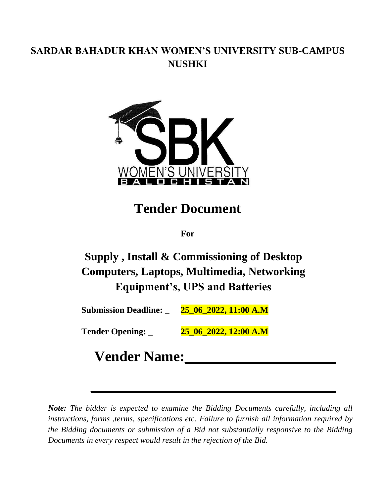## **SARDAR BAHADUR KHAN WOMEN'S UNIVERSITY SUB-CAMPUS NUSHKI**



# **Tender Document**

**For**

**Supply , Install & Commissioning of Desktop Computers, Laptops, Multimedia, Networking Equipment's, UPS and Batteries** 

**Submission Deadline: \_ 25\_06\_2022, 11:00 A.M**

**Tender Opening: \_ 25\_06\_2022, 12:00 A.M**

# **Vender Name:**

*Note: The bidder is expected to examine the Bidding Documents carefully, including all instructions, forms ,terms, specifications etc. Failure to furnish all information required by the Bidding documents or submission of a Bid not substantially responsive to the Bidding Documents in every respect would result in the rejection of the Bid.*

 $\mathcal{L}_\mathcal{L} = \mathcal{L}_\mathcal{L}$  , where  $\mathcal{L}_\mathcal{L} = \mathcal{L}_\mathcal{L}$  ,  $\mathcal{L}_\mathcal{L} = \mathcal{L}_\mathcal{L}$  ,  $\mathcal{L}_\mathcal{L} = \mathcal{L}_\mathcal{L}$  ,  $\mathcal{L}_\mathcal{L} = \mathcal{L}_\mathcal{L}$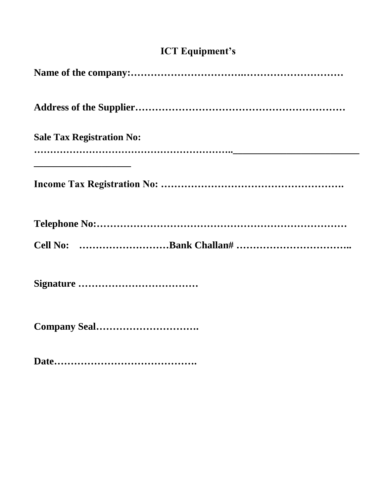# **ICT Equipment's**

| <b>Sale Tax Registration No:</b> |
|----------------------------------|
|                                  |
|                                  |
|                                  |
|                                  |
|                                  |
|                                  |

**Date…………………………………….**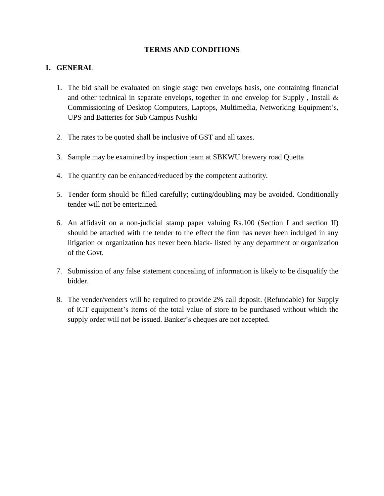#### **TERMS AND CONDITIONS**

### **1. GENERAL**

- 1. The bid shall be evaluated on single stage two envelops basis, one containing financial and other technical in separate envelops, together in one envelop for Supply , Install & Commissioning of Desktop Computers, Laptops, Multimedia, Networking Equipment's, UPS and Batteries for Sub Campus Nushki
- 2. The rates to be quoted shall be inclusive of GST and all taxes.
- 3. Sample may be examined by inspection team at SBKWU brewery road Quetta
- 4. The quantity can be enhanced/reduced by the competent authority.
- 5. Tender form should be filled carefully; cutting/doubling may be avoided. Conditionally tender will not be entertained.
- 6. An affidavit on a non-judicial stamp paper valuing Rs.100 (Section I and section II) should be attached with the tender to the effect the firm has never been indulged in any litigation or organization has never been black- listed by any department or organization of the Govt.
- 7. Submission of any false statement concealing of information is likely to be disqualify the bidder.
- 8. The vender/venders will be required to provide 2% call deposit. (Refundable) for Supply of ICT equipment's items of the total value of store to be purchased without which the supply order will not be issued. Banker's cheques are not accepted.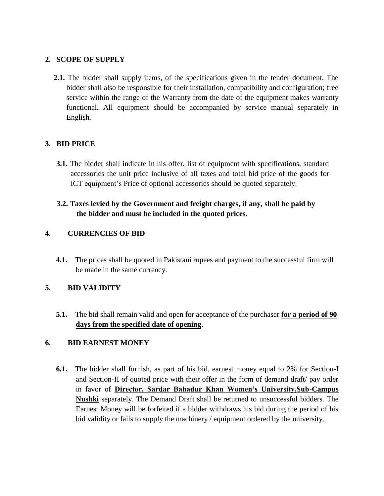#### **2. SCOPE OF SUPPLY**

**2.1.** The bidder shall supply items, of the specifications given in the tender document. The bidder shall also be responsible for their installation, compatibility and configuration; free service within the range of the Warranty from the date of the equipment makes warranty functional. All equipment should be accompanied by service manual separately in English.

### **3. BID PRICE**

**3.1.** The bidder shall indicate in his offer, list of equipment with specifications, standard accessories the unit price inclusive of all taxes and total bid price of the goods for ICT equipment's Price of optional accessories should be quoted separately.

### **3.2. Taxes levied by the Government and freight charges, if any, shall be paid by the bidder and must be included in the quoted prices**.

### **4. CURRENCIES OF BID**

**4.1.** The prices shall be quoted in Pakistani rupees and payment to the successful firm will be made in the same currency.

### **5. BID VALIDITY**

**5.1.** The bid shall remain valid and open for acceptance of the purchaser **for a period of 90 days from the specified date of opening**.

### **6. BID EARNEST MONEY**

**6.1.** The bidder shall furnish, as part of his bid, earnest money equal to 2% for Section-I and Section-II of quoted price with their offer in the form of demand draft/ pay order in favor of **Director, Sardar Bahadur Khan Women's University,Sub-Campus Nushki** separately. The Demand Draft shall be returned to unsuccessful bidders. The Earnest Money will be forfeited if a bidder withdraws his bid during the period of his bid validity or fails to supply the machinery / equipment ordered by the university.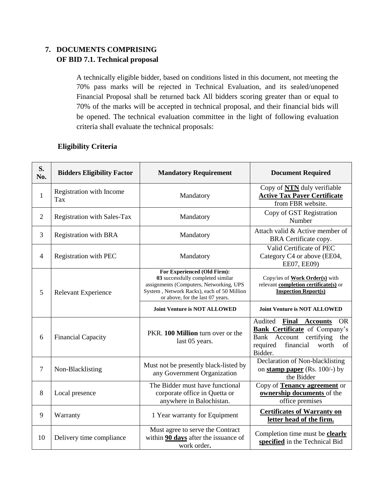### **7. DOCUMENTS COMPRISING OF BID 7.1. Technical proposal**

A technically eligible bidder, based on conditions listed in this document, not meeting the 70% pass marks will be rejected in Technical Evaluation, and its sealed/unopened Financial Proposal shall be returned back All bidders scoring greater than or equal to 70% of the marks will be accepted in technical proposal, and their financial bids will be opened. The technical evaluation committee in the light of following evaluation criteria shall evaluate the technical proposals:

### **Eligibility Criteria**

| S.<br>No.      | <b>Bidders Eligibility Factor</b> | <b>Mandatory Requirement</b>                                                                                                                                                                  | <b>Document Required</b>                                                                                                                                                      |
|----------------|-----------------------------------|-----------------------------------------------------------------------------------------------------------------------------------------------------------------------------------------------|-------------------------------------------------------------------------------------------------------------------------------------------------------------------------------|
| $\mathbf{1}$   | Registration with Income<br>Tax   | Mandatory                                                                                                                                                                                     | Copy of <b>NTN</b> duly verifiable<br><b>Active Tax Payer Certificate</b><br>from FBR website.                                                                                |
| $\overline{2}$ | Registration with Sales-Tax       | Mandatory                                                                                                                                                                                     | Copy of GST Registration<br>Number                                                                                                                                            |
| 3              | <b>Registration with BRA</b>      | Mandatory                                                                                                                                                                                     | Attach valid & Active member of<br>BRA Certificate copy.                                                                                                                      |
| $\overline{4}$ | Registration with PEC             | Mandatory                                                                                                                                                                                     | Valid Certificate of PEC<br>Category C4 or above (EE04,<br>EE07, EE09)                                                                                                        |
| 5              | Relevant Experience               | For Experienced (Old Firm):<br>03 successfully completed similar<br>assignments (Computers, Networking, UPS<br>System, Network Racks), each of 50 Million<br>or above, for the last 07 years. | Copy/ies of Work Order(s) with<br>relevant completion certificate(s) or<br><b>Inspection Report(s)</b>                                                                        |
|                |                                   | <b>Joint Venture is NOT ALLOWED</b>                                                                                                                                                           | <b>Joint Venture is NOT ALLOWED</b>                                                                                                                                           |
| 6              | <b>Financial Capacity</b>         | PKR. 100 Million turn over or the<br>last 05 years.                                                                                                                                           | Audited<br>Final<br><b>Accounts</b><br><b>OR</b><br><b>Bank Certificate</b> of Company's<br>Bank Account certifying<br>the<br>financial<br>required<br>worth<br>of<br>Bidder. |
| $\overline{7}$ | Non-Blacklisting                  | Must not be presently black-listed by<br>any Government Organization                                                                                                                          | Declaration of Non-blacklisting<br>on stamp paper (Rs. 100/-) by<br>the Bidder                                                                                                |
| 8              | Local presence                    | The Bidder must have functional<br>corporate office in Quetta or<br>anywhere in Balochistan.                                                                                                  | Copy of Tenancy agreement or<br>ownership documents of the<br>office premises                                                                                                 |
| 9              | Warranty                          | 1 Year warranty for Equipment                                                                                                                                                                 | <b>Certificates of Warranty on</b><br>letter head of the firm.                                                                                                                |
| 10             | Delivery time compliance          | Must agree to serve the Contract<br>within 90 days after the issuance of<br>work order.                                                                                                       | Completion time must be <b>clearly</b><br>specified in the Technical Bid                                                                                                      |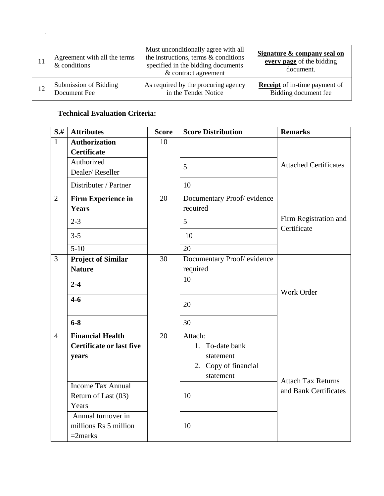| Agreement with all the terms<br>& conditions | Must unconditionally agree with all<br>the instructions, terms & conditions<br>specified in the bidding documents<br>& contract agreement | Signature & company seal on<br>every page of the bidding<br>document. |
|----------------------------------------------|-------------------------------------------------------------------------------------------------------------------------------------------|-----------------------------------------------------------------------|
| Submission of Bidding                        | As required by the procuring agency                                                                                                       | <b>Receipt</b> of in-time payment of                                  |
| Document Fee                                 | in the Tender Notice                                                                                                                      | Bidding document fee                                                  |

### **Technical Evaluation Criteria:**

 $\mathcal{A}^{\pm}$ 

| $S+$           | <b>Attributes</b>               | <b>Score</b> | <b>Score Distribution</b>  | <b>Remarks</b>                       |
|----------------|---------------------------------|--------------|----------------------------|--------------------------------------|
| $\mathbf{1}$   | <b>Authorization</b>            | 10           |                            |                                      |
|                | <b>Certificate</b>              |              |                            |                                      |
|                | Authorized                      |              | 5                          | <b>Attached Certificates</b>         |
|                | Dealer/Reseller                 |              |                            |                                      |
|                | Distributer / Partner           |              | 10                         |                                      |
| $\overline{2}$ | <b>Firm Experience in</b>       | 20           | Documentary Proof/evidence |                                      |
|                | <b>Years</b>                    |              | required                   |                                      |
|                | $2 - 3$                         |              | 5                          | Firm Registration and<br>Certificate |
|                | $3 - 5$                         |              | 10                         |                                      |
|                | $5 - 10$                        |              | 20                         |                                      |
| 3              | <b>Project of Similar</b>       | 30           | Documentary Proof/evidence |                                      |
|                | <b>Nature</b>                   |              | required                   |                                      |
|                | $2 - 4$                         |              | 10                         |                                      |
|                |                                 |              |                            | Work Order                           |
|                | $4-6$                           |              | 20                         |                                      |
|                |                                 |              |                            |                                      |
|                | $6 - 8$                         |              | 30                         |                                      |
| $\overline{4}$ | <b>Financial Health</b>         | 20           | Attach:                    |                                      |
|                | <b>Certificate or last five</b> |              | 1. To-date bank            |                                      |
|                | years                           |              | statement                  |                                      |
|                |                                 |              | 2. Copy of financial       |                                      |
|                |                                 |              | statement                  | <b>Attach Tax Returns</b>            |
|                | <b>Income Tax Annual</b>        |              |                            | and Bank Certificates                |
|                | Return of Last (03)             |              | 10                         |                                      |
|                | Years                           |              |                            |                                      |
|                | Annual turnover in              |              |                            |                                      |
|                | millions Rs 5 million           |              | 10                         |                                      |
|                | $=2$ marks                      |              |                            |                                      |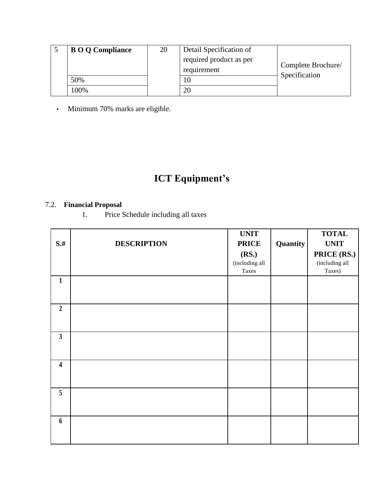| <b>BOQ</b> Compliance | 20 | Detail Specification of                |                                     |
|-----------------------|----|----------------------------------------|-------------------------------------|
|                       |    | required product as per<br>requirement | Complete Brochure/<br>Specification |
| 50%                   |    | 10                                     |                                     |
| $00\%$                |    | 20                                     |                                     |

• Minimum 70% marks are eligible.

# **ICT Equipment's**

### 7.2. **Financial Proposal**

1. Price Schedule including all taxes

|                         |                    | <b>UNIT</b>    |          | <b>TOTAL</b>   |
|-------------------------|--------------------|----------------|----------|----------------|
| $S$ .#                  | <b>DESCRIPTION</b> | <b>PRICE</b>   | Quantity | <b>UNIT</b>    |
|                         |                    | (RS.)          |          | PRICE (RS.)    |
|                         |                    | (including all |          | (including all |
|                         |                    | Taxes          |          | Taxes)         |
| $\mathbf{1}$            |                    |                |          |                |
|                         |                    |                |          |                |
|                         |                    |                |          |                |
| $\overline{2}$          |                    |                |          |                |
|                         |                    |                |          |                |
|                         |                    |                |          |                |
| $\mathbf{3}$            |                    |                |          |                |
|                         |                    |                |          |                |
|                         |                    |                |          |                |
| $\overline{\mathbf{4}}$ |                    |                |          |                |
|                         |                    |                |          |                |
|                         |                    |                |          |                |
| $\overline{5}$          |                    |                |          |                |
|                         |                    |                |          |                |
|                         |                    |                |          |                |
| 6                       |                    |                |          |                |
|                         |                    |                |          |                |
|                         |                    |                |          |                |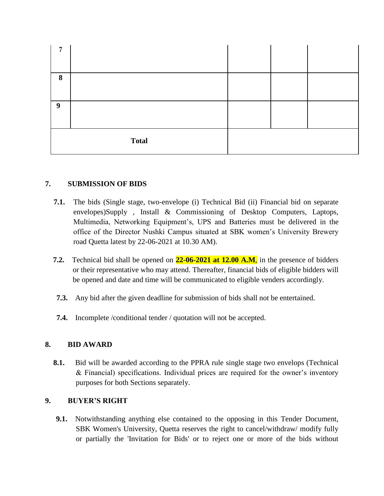| 8 |              |  |  |
|---|--------------|--|--|
| 9 |              |  |  |
|   | <b>Total</b> |  |  |

### **7. SUBMISSION OF BIDS**

- **7.1.** The bids (Single stage, two-envelope (i) Technical Bid (ii) Financial bid on separate envelopes)Supply , Install & Commissioning of Desktop Computers, Laptops, Multimedia, Networking Equipment's, UPS and Batteries must be delivered in the office of the Director Nushki Campus situated at SBK women's University Brewery road Quetta latest by 22-06-2021 at 10.30 AM).
- **7.2.** Technical bid shall be opened on **22-06-2021 at 12.00 A.M**, in the presence of bidders or their representative who may attend. Thereafter, financial bids of eligible bidders will be opened and date and time will be communicated to eligible venders accordingly.
- **7.3.** Any bid after the given deadline for submission of bids shall not be entertained.
- **7.4.** Incomplete /conditional tender / quotation will not be accepted.

### **8. BID AWARD**

**8.1.** Bid will be awarded according to the PPRA rule single stage two envelops (Technical & Financial) specifications. Individual prices are required for the owner's inventory purposes for both Sections separately.

### **9. BUYER'S RIGHT**

**9.1.** Notwithstanding anything else contained to the opposing in this Tender Document, SBK Women's University, Quetta reserves the right to cancel/withdraw/ modify fully or partially the 'Invitation for Bids' or to reject one or more of the bids without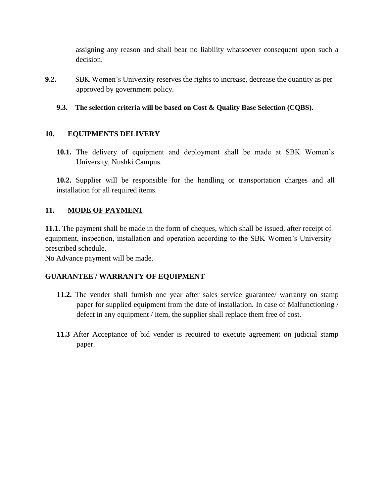assigning any reason and shall bear no liability whatsoever consequent upon such a decision.

**9.2.** SBK Women's University reserves the rights to increase, decrease the quantity as per approved by government policy.

### **9.3. The selection criteria will be based on Cost & Quality Base Selection (CQBS).**

### **10. EQUIPMENTS DELIVERY**

**10.1.** The delivery of equipment and deployment shall be made at SBK Women's University, Nushki Campus.

**10.2.** Supplier will be responsible for the handling or transportation charges and all installation for all required items.

#### **11. MODE OF PAYMENT**

**11.1.** The payment shall be made in the form of cheques, which shall be issued, after receipt of equipment, inspection, installation and operation according to the SBK Women's University prescribed schedule.

No Advance payment will be made.

#### **GUARANTEE / WARRANTY OF EQUIPMENT**

- **11.2.** The vender shall furnish one year after sales service guarantee/ warranty on stamp paper for supplied equipment from the date of installation. In case of Malfunctioning / defect in any equipment / item, the supplier shall replace them free of cost.
- **11.3** After Acceptance of bid vender is required to execute agreement on judicial stamp paper.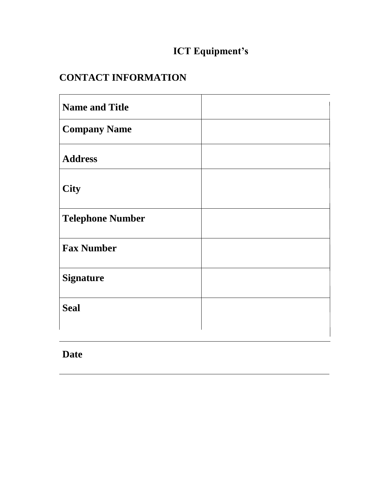# **ICT Equipment's**

## **CONTACT INFORMATION**

| <b>Name and Title</b>   |  |
|-------------------------|--|
| <b>Company Name</b>     |  |
| <b>Address</b>          |  |
| <b>City</b>             |  |
| <b>Telephone Number</b> |  |
| <b>Fax Number</b>       |  |
| <b>Signature</b>        |  |
| <b>Seal</b>             |  |
|                         |  |

## **Date**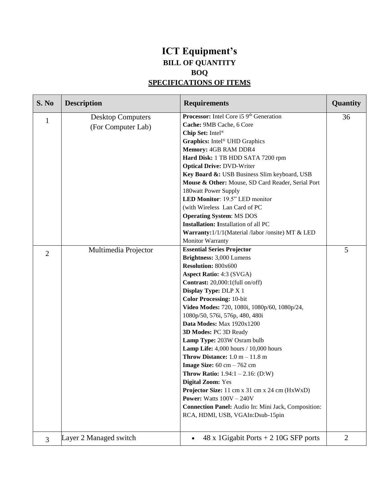### **ICT Equipment's BILL OF QUANTITY BOQ SPECIFICATIONS OF ITEMS**

| S. No                          | <b>Description</b>                                                     | <b>Requirements</b>                                                                                                                                                                                                                                                                                                                                                                                                                                                                                                                                                                                                                                                                                                                                                                                                                                                                                                                            | Quantity       |
|--------------------------------|------------------------------------------------------------------------|------------------------------------------------------------------------------------------------------------------------------------------------------------------------------------------------------------------------------------------------------------------------------------------------------------------------------------------------------------------------------------------------------------------------------------------------------------------------------------------------------------------------------------------------------------------------------------------------------------------------------------------------------------------------------------------------------------------------------------------------------------------------------------------------------------------------------------------------------------------------------------------------------------------------------------------------|----------------|
| $\mathbf{1}$<br>$\overline{2}$ | <b>Desktop Computers</b><br>(For Computer Lab)<br>Multimedia Projector | Processor: Intel Core i5 9 <sup>th</sup> Generation<br>Cache: 9MB Cache, 6 Core<br>Chip Set: Intel <sup>®</sup><br>Graphics: Intel® UHD Graphics<br>Memory: 4GB RAM DDR4<br>Hard Disk: 1 TB HDD SATA 7200 rpm<br><b>Optical Drive: DVD-Writer</b><br>Key Board &: USB Business Slim keyboard, USB<br>Mouse & Other: Mouse, SD Card Reader, Serial Port<br>180watt Power Supply<br>LED Monitor: 19.5" LED monitor<br>(with Wireless Lan Card of PC<br><b>Operating System: MS DOS</b><br><b>Installation:</b> Installation of all PC<br>Warranty: 1/1/1(Material /labor /onsite) MT & LED<br><b>Monitor Warranty</b><br><b>Essential Series Projector</b><br>Brightness: 3,000 Lumens<br><b>Resolution: 800x600</b><br><b>Aspect Ratio: 4:3 (SVGA)</b><br>Contrast: 20,000:1(full on/off)<br><b>Display Type: DLP X 1</b><br><b>Color Processing: 10-bit</b><br>Video Modes: 720, 1080i, 1080p/60, 1080p/24,<br>1080p/50, 576i, 576p, 480, 480i | 36<br>5        |
|                                |                                                                        | Data Modes: Max 1920x1200<br>3D Modes: PC 3D Ready<br>Lamp Type: 203W Osram bulb<br><b>Lamp Life:</b> 4,000 hours $/ 10,000$ hours<br>Throw Distance: $1.0 m - 11.8 m$<br>Image Size: $60 \text{ cm} - 762 \text{ cm}$<br><b>Throw Ratio:</b> $1.94:1 - 2.16:$ (D:W)<br><b>Digital Zoom: Yes</b><br>Projector Size: 11 cm x 31 cm x 24 cm (HxWxD)<br><b>Power:</b> Watts $100V - 240V$<br>Connection Panel: Audio In: Mini Jack, Composition:<br>RCA, HDMI, USB, VGAIn:Dsub-15pin                                                                                                                                                                                                                                                                                                                                                                                                                                                              |                |
| 3                              | Layer 2 Managed switch                                                 | 48 x 1 Gigabit Ports $+ 2$ 10 G SFP ports                                                                                                                                                                                                                                                                                                                                                                                                                                                                                                                                                                                                                                                                                                                                                                                                                                                                                                      | $\overline{2}$ |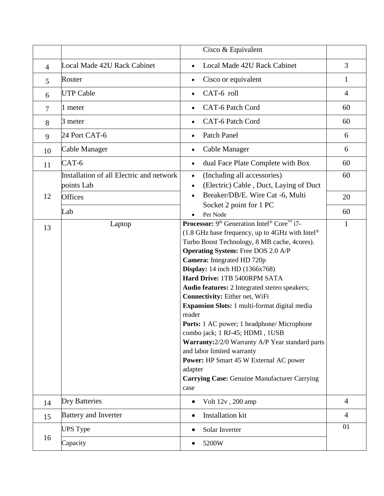|                |                                          | Cisco & Equivalent                                                              |                |
|----------------|------------------------------------------|---------------------------------------------------------------------------------|----------------|
| $\overline{4}$ | Local Made 42U Rack Cabinet              | Local Made 42U Rack Cabinet                                                     | 3              |
| 5              | Router                                   | Cisco or equivalent                                                             | 1              |
| 6              | <b>UTP Cable</b>                         | CAT-6 roll                                                                      | $\overline{4}$ |
| $\overline{7}$ | 1 meter                                  | CAT-6 Patch Cord                                                                | 60             |
| 8              | 3 meter                                  | CAT-6 Patch Cord<br>$\bullet$                                                   | 60             |
| 9              | 24 Port CAT-6                            | Patch Panel<br>$\bullet$                                                        | 6              |
| 10             | Cable Manager                            | Cable Manager<br>$\bullet$                                                      | 6              |
| 11             | CAT-6                                    | dual Face Plate Complete with Box                                               | 60             |
|                | Installation of all Electric and network | (Including all accessories)<br>$\bullet$                                        | 60             |
|                | points Lab                               | (Electric) Cable, Duct, Laying of Duct<br>$\bullet$                             |                |
| 12             | Offices                                  | Breaker/DB/E. Wire Cat -6, Multi                                                | 20             |
|                |                                          | Socket 2 point for 1 PC                                                         |                |
|                | Lab                                      | Per Node                                                                        | 60             |
| 13             | Laptop                                   | <b>Processor:</b> 9 <sup>th</sup> Generation Intel® Core <sup>™</sup> i7-       | $\mathbf{1}$   |
|                |                                          | (1.8 GHz base frequency, up to 4GHz with Intel®                                 |                |
|                |                                          | Turbo Boost Technology, 8 MB cache, 4cores).                                    |                |
|                |                                          | <b>Operating System:</b> Free DOS 2.0 A/P                                       |                |
|                |                                          | Camera: Integrated HD 720p                                                      |                |
|                |                                          | <b>Display:</b> 14 inch HD (1366x768)                                           |                |
|                |                                          | Hard Drive: 1TB 5400RPM SATA                                                    |                |
|                |                                          | Audio features: 2 Integrated stereo speakers;<br>Connectivity: Either net, WiFi |                |
|                |                                          | Expansion Slots: 1 multi-format digital media                                   |                |
|                |                                          | reader                                                                          |                |
|                |                                          | <b>Ports:</b> 1 AC power; 1 headphone/ Microphone                               |                |
|                |                                          | combo jack; 1 RJ-45; HDMI, 1USB                                                 |                |
|                |                                          | Warranty: 2/2/0 Warranty A/P Year standard parts                                |                |
|                |                                          | and labor limited warranty                                                      |                |
|                |                                          | <b>Power:</b> HP Smart 45 W External AC power                                   |                |
|                |                                          | adapter                                                                         |                |
|                |                                          | <b>Carrying Case: Genuine Manufacturer Carrying</b>                             |                |
|                |                                          | case                                                                            |                |
| 14             | <b>Dry Batteries</b>                     | Volt 12v, 200 amp                                                               | $\overline{4}$ |
| 15             | <b>Battery and Inverter</b>              | Installation kit<br>$\bullet$                                                   | $\overline{4}$ |
|                | <b>UPS Type</b>                          | Solar Inverter                                                                  | 01             |
| 16             | Capacity                                 | 5200W                                                                           |                |